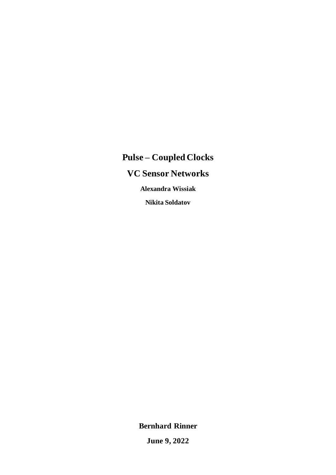# **Pulse – Coupled Clocks VC Sensor Networks Alexandra Wissiak**

**Nikita Soldatov**

**Bernhard Rinner**

**June 9, 2022**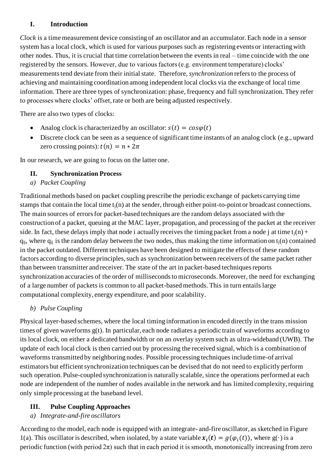### **I. Introduction**

*Clock* is a time measurement device consisting of an oscillator and an accumulator. Each node in a sensor system has a local clock, which is used for various purposes such as registering events or interacting with other nodes. Thus, it is crucial that time correlation between the events in real – time coincide with the one registered by the sensors. However, due to various factors (e.g. environment temperature) clocks' measurements tend deviate from their initial state. Therefore, *synchronization* refers to the process of achieving and maintaining coordination among independent local clocks via the exchange of local time information. There are three types of synchronization: phase, frequency and full synchronization. They refer to processes where clocks' offset, rate or both are being adjusted respectively.

There are also two types of clocks:

- Analog clock is characterized by an oscillator:  $s(t) = cos\varphi(t)$
- Discrete clock can be seen as a sequence of significant time instants of an analog clock (e.g., upward zero crossing points):  $t(n) = n * 2\pi$

In our research, we are going to focus on the latter one.

# **II. Synchronization Process**

*a) Packet Coupling*

Traditional methods based on packet coupling prescribe the periodic exchange of packets carrying time stamps that contain the local time  $t_i(n)$  at the sender, through either point-to-point or broadcast connections. The main sources of errors for packet-based techniques are the random delays associated with the construction of a packet, queuing at the MAC layer, propagation, and processing of the packet at the receiver side. In fact, these delays imply that node i actually receives the timing packet from a node j at time  $t_i(n)$  +  $q_{ij}$ , where  $q_{ij}$  is the random delay between the two nodes, thus making the time information on  $t_i(n)$  contained in the packet outdated. Different techniques have been designed to mitigate the effects of these random factors according to diverse principles, such as synchronization between receivers of the same packet rather than between transmitter and receiver. The state of the art in packet-based techniques reports synchronization accuracies of the order of milliseconds to microseconds. Moreover, the need for exchanging of a large number of packets is common to all packet-basedmethods. This in turn entails large computational complexity, energy expenditure, and poor scalability.

# *b) Pulse Coupling*

Physical layer-based schemes, where the local timing information in encoded directly in the trans mission times of given waveforms g(t). In particular, each node radiates a periodic train of waveforms according to its local clock, on either a dedicated bandwidth or on an overlay system such as ultra-wideband (UWB). The update of each local clock is then carried out by processing the received signal, which is a combination of waveforms transmitted by neighboring nodes. Possible processing techniques include time-of arrival estimators but efficient synchronization techniques can be devised that do not need to explicitly perform such operation. Pulse-coupled synchronization is naturally scalable, since the operations performed at each node are independent of the number of nodes available in the network and has limited complexity, requiring only simple processing at the baseband level.

# **III. Pulse Coupling Approaches**

# *a) Integrate-and-fire oscillators*

According to the model, each node is equipped with an integrate- and-fire oscillator, as sketched in Figure 1(a). This oscillator is described, when isolated, by a state variable  $x_i(t) = g(\varphi_i(t))$ , where  $g(\cdot)$  is a periodic function (with period  $2\pi$ ) such that in each period it is smooth, monotonically increasing from zero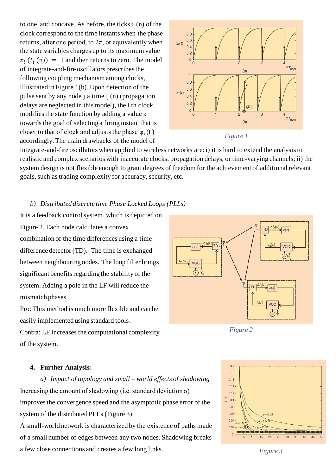to one, and concave. As before, the ticks  $t_i(n)$  of the clock correspond to the time instants when the phase returns, after one period, to 2π, or equivalently when the state variables charges up to its maximum value  $x_i(t_i(n)) = 1$  and then returns to zero. The model of integrate-and-fire oscillators prescribes the following coupling mechanism among clocks, illustrated in Figure 1(b). Upon detection of the pulse sent by any node j a time  $t_i(n)$  (propagation delays are neglected in this model), the i th clock modifies the state function by adding a value ε towards the goal of selecting a firing instant that is closer to that of clock and adjusts the phase  $\varphi_i(t)$ accordingly. The main drawbacks of the model of



integrate-and-fire oscillators when applied to wireless networks are: i) it is hard to extend the analysis to realistic and complex scenarios with inaccurate clocks, propagation delays, or time-varying channels; ii) the system design is not flexible enough to grant degrees of freedom for the achievement of additional relevant goals, such as trading complexity for accuracy, security, etc.

#### *b) Distributed discrete time Phase Locked Loops (PLLs)*

It is a feedback control system, which is depicted on Figure 2. Each node calculates a convex combination of the time differences using a time difference detector (TD). The time is exchanged between neighbouring nodes. The loop filter brings significant benefits regarding the stability of the system. Adding a pole in the LF will reduce the mismatch phases.

Pro: This method is much more flexible and can be easily implemented using standard tools.

Contra: LF increases the computational complexity of the system.



*Figure 2*



#### **4. Further Analysis:**

*a) Impact of topology and small – world effects of shadowing* Increasing the amount of shadowing (i.e. standard deviation  $\sigma$ ) improves the convergence speed and the asymptotic phase error of the system of the distributed PLLs (Figure 3).

A small-world network is characterized by the existence of paths made of a small number of edges between any two nodes. Shadowing breaks a few close connections and creates a few long links.

*Figure 3*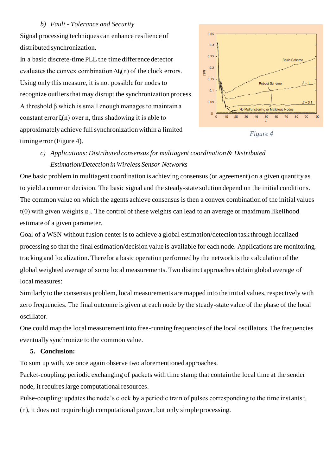#### *b) Fault - Tolerance and Security*

Signal processing techniques can enhance resilience of distributed synchronization.

In a basic discrete-time PLL the time difference detector evaluates the convex combination  $\Delta t_i(n)$  of the clock errors. Using only this measure, it is not possible for nodes to recognize outliers that may disrupt the synchronization process. A threshold β which is small enough manages to maintain a constant error  $\xi(n)$  over n, thus shadowing it is able to approximately achieve full synchronization within a limited timing error (Figure 4).



*Figure 4*

# *c) Applications: Distributed consensus for multiagent coordination & Distributed Estimation/Detection in Wireless Sensor Networks*

One basic problem in multiagent coordination is achieving consensus (or agreement) on a given quantity as to yield a common decision. The basic signal and the steady-state solution depend on the initial conditions. The common value on which the agents achieve consensus is then a convex combination of the initial values t(0) with given weights  $\alpha_{ii}$ . The control of these weights can lead to an average or maximum likelihood estimate of a given parameter.

Goal of a WSN without fusion center is to achieve a global estimation/detection task through localized processing so that the final estimation/decision value is available for each node. Applications are monitoring, tracking and localization. Therefor a basic operation performed by the network is the calculation of the global weighted average of some local measurements. Two distinct approaches obtain global average of local measures:

Similarly to the consensus problem, local measurements are mapped into the initial values, respectively with zero frequencies. The final outcome is given at each node by the steady-state value of the phase of the local oscillator.

One could map the local measurement into free-running frequencies of the local oscillators. The frequencies eventually synchronize to the common value.

# **5. Conclusion:**

To sum up with, we once again observe two aforementioned approaches.

Packet-coupling: periodic exchanging of packets with time stamp that contain the local time at the sender node, it requires large computational resources.

Pulse-coupling: updates the node's clock by a periodic train of pulses corresponding to the time instants t<sub>i</sub> (n), it does not require high computational power, but only simple processing.